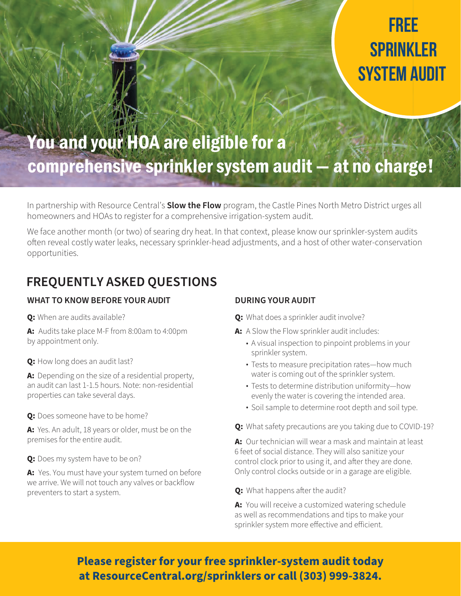# **free SPRINKLER system audit**

## You and your HOA are eligible for a comprehensive sprinkler system audit — at no charge!

In partnership with Resource Central's **Slow the Flow** program, the Castle Pines North Metro District urges all homeowners and HOAs to register for a comprehensive irrigation-system audit.

We face another month (or two) of searing dry heat. In that context, please know our sprinkler-system audits often reveal costly water leaks, necessary sprinkler-head adjustments, and a host of other water-conservation opportunities.

### **FREQUENTLY ASKED QUESTIONS**

#### **WHAT TO KNOW BEFORE YOUR AUDIT**

**Q:** When are audits available?

**A:** Audits take place M-F from 8:00am to 4:00pm by appointment only.

**Q:** How long does an audit last?

**A:** Depending on the size of a residential property, an audit can last 1-1.5 hours. Note: non-residential properties can take several days.

**Q:** Does someone have to be home?

**A:** Yes. An adult, 18 years or older, must be on the premises for the entire audit.

**Q:** Does my system have to be on?

**A:** Yes. You must have your system turned on before we arrive. We will not touch any valves or backflow preventers to start a system.

#### **DURING YOUR AUDIT**

**Q:** What does a sprinkler audit involve?

- **A:** A Slow the Flow sprinkler audit includes:
	- A visual inspection to pinpoint problems in your sprinkler system.
	- Tests to measure precipitation rates—how much water is coming out of the sprinkler system.
	- Tests to determine distribution uniformity—how evenly the water is covering the intended area.
	- Soil sample to determine root depth and soil type.
- **Q:** What safety precautions are you taking due to COVID-19?

**A:** Our technician will wear a mask and maintain at least 6 feet of social distance. They will also sanitize your control clock prior to using it, and after they are done. Only control clocks outside or in a garage are eligible.

**Q:** What happens after the audit?

**A:** You will receive a customized watering schedule as well as recommendations and tips to make your sprinkler system more effective and efficient.

### **Please register for your free sprinkler-system audit today at [ResourceCentral.org/sprinklers](https://resourcecentral.org/slowtheflow/sprinklers/) or call (303) 999-3824.**